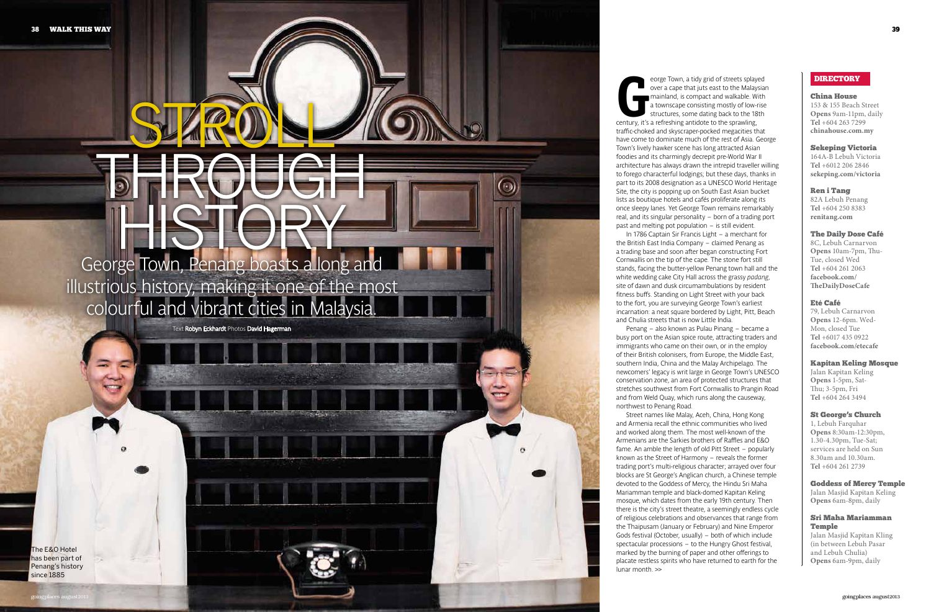# **George Town, Penang boasts a long and illustrious history, making it one of the most colourful and vibrant cities in Malaysia.**

STRON

**THROUGH** 

The E&O Hotel has been part of Penang's history since 1885

 $\odot$ 

**Text Robyn Eckhardt Photos David Hagerman**

# DIRECTORY

#### China House

153 & 155 Beach Street **Opens** 9am-11pm, daily **Tel** +604 263 7299 **chinahouse.com.my**

#### Sekeping Victoria

164A-B Lebuh Victoria **Tel** +6012 206 2846 **sekeping.com/victoria**

#### Ren i Tang

82A Lebuh Penang **Tel** +604 250 8383 **renitang.com**

### The Daily Dose Café

8C, Lebuh Carnarvon **Opens** 10am-7pm, Thu-Tue, closed Wed **Tel** +604 261 2063 **facebook.com/ TheDailyDoseCafe**

# Eté Café

79, Lebuh Carnarvon **Opens** 12-6pm. Wed-Mon, closed Tue **Tel** +6017 435 0922 **facebook.com/etecafe**

#### Kapitan Keling Mosque

Jalan Kapitan Keling **Opens** 1-5pm, Sat-Thu; 3-5pm, Fri **Tel** +604 264 3494

# St George's Church

1, Lebuh Farquhar **Opens** 8:30am-12:30pm, 1.30-4.30pm, Tue-Sat; services are held on Sun 8.30am and 10.30am. **Tel** +604 261 2739

#### Goddess of Mercy Temple

Jalan Masjid Kapitan Keling **Opens** 6am-8pm, daily

# Sri Maha Mariamman Temple

Jalan Masjid Kapitan Kling (in between Lebuh Pasar and Lebuh Chulia) **Opens** 6am-9pm, daily

**G century, it's a refreshing antidote to the sprawling, eorge Town, a tidy grid of streets splayed over a cape that juts east to the Malaysian mainland, is compact and walkable. With a townscape consisting mostly of low-rise structures, some dating back to the 18th traffic-choked and skyscraper-pocked megacities that have come to dominate much of the rest of Asia. George Town's lively hawker scene has long attracted Asian foodies and its charmingly decrepit pre-World War II architecture has always drawn the intrepid traveller willing to forego characterful lodgings; but these days, thanks in part to its 2008 designation as a UNESCO World Heritage Site, the city is popping up on South East Asian bucket lists as boutique hotels and cafés proliferate along its once sleepy lanes. Yet George Town remains remarkably real, and its singular personality – born of a trading port past and melting pot population – is still evident. In 1786 Captain Sir Francis Light – a merchant for** 

**the British East India Company – claimed Penang as a trading base and soon after began constructing Fort Cornwallis on the tip of the cape. The stone fort still stands, facing the butter-yellow Penang town hall and the white wedding cake City Hall across the grassy** *padang***, site of dawn and dusk circumambulations by resident fitness buffs. Standing on Light Street with your back to the fort, you are surveying George Town's earliest incarnation: a neat square bordered by Light, Pitt, Beach and Chulia streets that is now Little India. Penang – also known as Pulau Pinang – became a** 

**busy port on the Asian spice route, attracting traders and immigrants who came on their own, or in the employ of their British colonisers, from Europe, the Middle East, southern India, China and the Malay Archipelago. The newcomers' legacy is writ large in George Town's UNESCO conservation zone, an area of protected structures that stretches southwest from Fort Cornwallis to Prangin Road and from Weld Quay, which runs along the causeway,** 

**northwest to Penang Road. Street names like Malay, Aceh, China, Hong Kong and Armenia recall the ethnic communities who lived and worked along them. The most well-known of the Armenians are the Sarkies brothers of Raffles and E&O fame. An amble the length of old Pitt Street – popularly known as the Street of Harmony – reveals the former trading port's multi-religious character; arrayed over four blocks are St George's Anglican church, a Chinese temple devoted to the Goddess of Mercy, the Hindu Sri Maha Mariamman temple and black-domed Kapitan Keling mosque, which dates from the early 19th century. Then there is the city's street theatre, a seemingly endless cycle of religious celebrations and observances that range from the Thaipusam (January or February) and Nine Emperor Gods festival (October, usually) – both of which include spectacular processions – to the Hungry Ghost festival, marked by the burning of paper and other offerings to placate restless spirits who have returned to earth for the lunar month. >>**